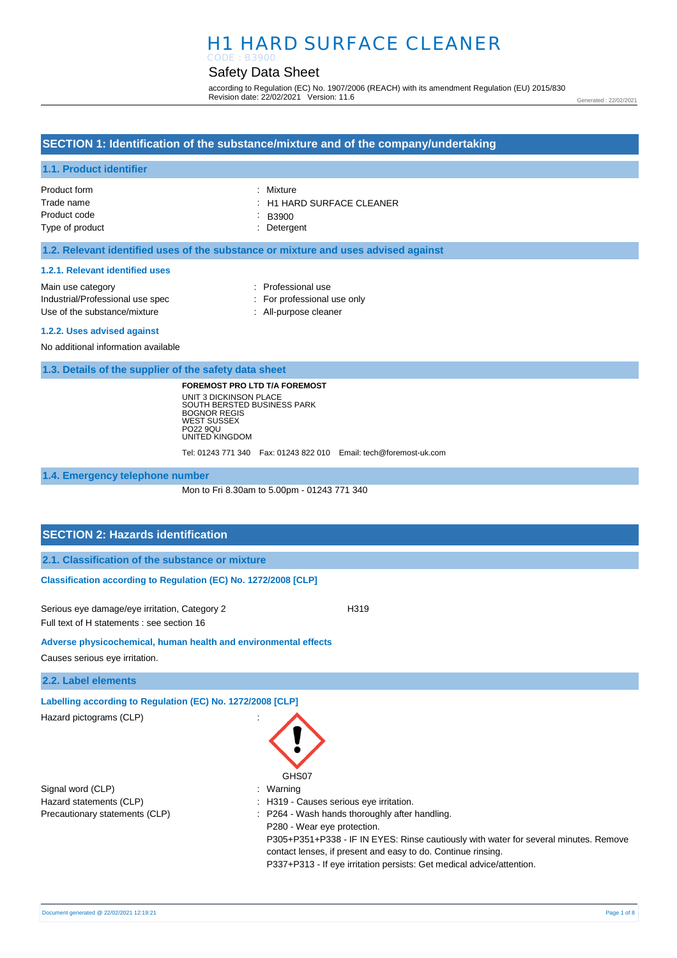# H1 HARD SURFACE CLEANER CODE : B3900

# Safety Data Sheet

according to Regulation (EC) No. 1907/2006 (REACH) with its amendment Regulation (EU) 2015/830 Revision date: 22/02/2021 Version: 11.6

Generated : 22/02/2021

### **SECTION 1: Identification of the substance/mixture and of the company/undertaking**

### **1.1. Product identifier**

| Product form    | : Mixture                            |
|-----------------|--------------------------------------|
| Trade name      | $\therefore$ H1 HARD SURFACE CLEANER |
| Product code    | B3900                                |
| Type of product | : Detergent                          |

### **1.2. Relevant identified uses of the substance or mixture and uses advised against**

#### **1.2.1. Relevant identified uses**

| Main use category                |
|----------------------------------|
| Industrial/Professional use spec |
| Use of the substance/mixture     |

- : Professional use : For professional use only
- : All-purpose cleaner

#### **1.2.2. Uses advised against**

No additional information available

**1.3. Details of the supplier of the safety data sheet**

**FOREMOST PRO LTD T/A FOREMOST** UNIT 3 DICKINSON PLACE SOUTH BERSTED BUSINESS PARK BOGNOR REGIS WEST SUSSEX PO22 9QU UNITED KINGDOM

Tel: 01243 771 340 Fax: 01243 822 010 Email: tech@foremost-uk.com

**1.4. Emergency telephone number**

Mon to Fri 8.30am to 5.00pm - 01243 771 340

GHS07

### **SECTION 2: Hazards identification**

**2.1. Classification of the substance or mixture**

### **Classification according to Regulation (EC) No. 1272/2008 [CLP]**

Serious eye damage/eye irritation, Category 2 <br>
H319 Full text of H statements : see section 16

**Adverse physicochemical, human health and environmental effects** 

Causes serious eye irritation.

**2.2. Label elements**

**Labelling according to Regulation (EC) No. 1272/2008 [CLP]** 

Hazard pictograms (CLP) :

Signal word (CLP)  $\qquad \qquad$ : Warning Hazard statements (CLP)  $\qquad \qquad$ : H319 - Causes serious eye irritation. Precautionary statements (CLP) : P264 - Wash hands thoroughly after handling.

P280 - Wear eye protection. P305+P351+P338 - IF IN EYES: Rinse cautiously with water for several minutes. Remove contact lenses, if present and easy to do. Continue rinsing. P337+P313 - If eye irritation persists: Get medical advice/attention.

Document generated @ 22/02/2021 12:19:21 Page 1 of 8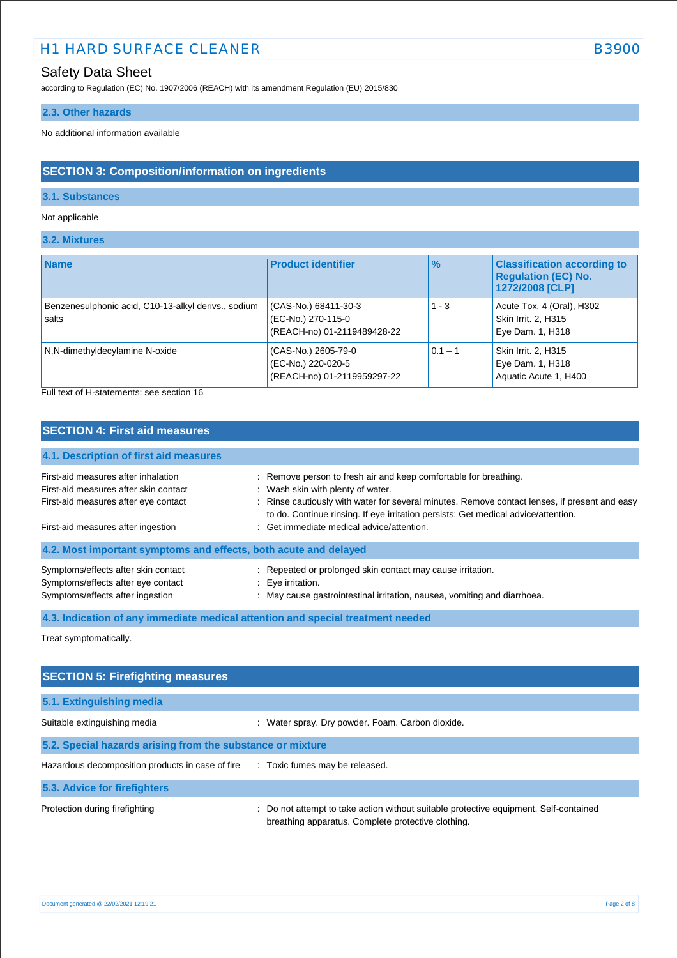# H1 HARD SURFACE CLEANER B3900

# Safety Data Sheet

according to Regulation (EC) No. 1907/2006 (REACH) with its amendment Regulation (EU) 2015/830

### **2.3. Other hazards**

No additional information available

# **SECTION 3: Composition/information on ingredients**

### **3.1. Substances**

#### Not applicable

### **3.2. Mixtures**

| <b>Name</b>                                                  | <b>Product identifier</b>                                                 | $\frac{9}{6}$ | <b>Classification according to</b><br><b>Regulation (EC) No.</b><br>1272/2008 [CLP] |
|--------------------------------------------------------------|---------------------------------------------------------------------------|---------------|-------------------------------------------------------------------------------------|
| Benzenesulphonic acid, C10-13-alkyl derivs., sodium<br>salts | (CAS-No.) 68411-30-3<br>(EC-No.) 270-115-0<br>(REACH-no) 01-2119489428-22 | $1 - 3$       | Acute Tox. 4 (Oral), H302<br>Skin Irrit. 2, H315<br>Eye Dam. 1, H318                |
| N,N-dimethyldecylamine N-oxide                               | (CAS-No.) 2605-79-0<br>(EC-No.) 220-020-5<br>(REACH-no) 01-2119959297-22  | $0.1 - 1$     | Skin Irrit. 2, H315<br>Eye Dam. 1, H318<br>Aquatic Acute 1, H400                    |

Full text of H-statements: see section 16

### **SECTION 4: First aid measures**

# **4.1. Description of first aid measures**

| First-aid measures after inhalation<br>First-aid measures after skin contact<br>First-aid measures after eye contact | : Remove person to fresh air and keep comfortable for breathing.<br>: Wash skin with plenty of water.<br>: Rinse cautiously with water for several minutes. Remove contact lenses, if present and easy<br>to do. Continue rinsing. If eye irritation persists: Get medical advice/attention. |
|----------------------------------------------------------------------------------------------------------------------|----------------------------------------------------------------------------------------------------------------------------------------------------------------------------------------------------------------------------------------------------------------------------------------------|
| First-aid measures after ingestion                                                                                   | : Get immediate medical advice/attention.                                                                                                                                                                                                                                                    |
| 4.2. Most important symptoms and effects, both acute and delayed                                                     |                                                                                                                                                                                                                                                                                              |
| Symptoms/effects after skin contact<br>Symptoms/effects after eye contact<br>Symptoms/effects after ingestion        | : Repeated or prolonged skin contact may cause irritation.<br>: Eve irritation.<br>: May cause gastrointestinal irritation, nausea, vomiting and diarrhoea.                                                                                                                                  |

**4.3. Indication of any immediate medical attention and special treatment needed**

Treat symptomatically.

| <b>SECTION 5: Firefighting measures</b>                                            |                                                                                                                                           |  |  |
|------------------------------------------------------------------------------------|-------------------------------------------------------------------------------------------------------------------------------------------|--|--|
| 5.1. Extinguishing media                                                           |                                                                                                                                           |  |  |
| Suitable extinguishing media                                                       | : Water spray. Dry powder. Foam. Carbon dioxide.                                                                                          |  |  |
| 5.2. Special hazards arising from the substance or mixture                         |                                                                                                                                           |  |  |
| Hazardous decomposition products in case of fire<br>: Toxic fumes may be released. |                                                                                                                                           |  |  |
| 5.3. Advice for firefighters                                                       |                                                                                                                                           |  |  |
| Protection during firefighting                                                     | Do not attempt to take action without suitable protective equipment. Self-contained<br>breathing apparatus. Complete protective clothing. |  |  |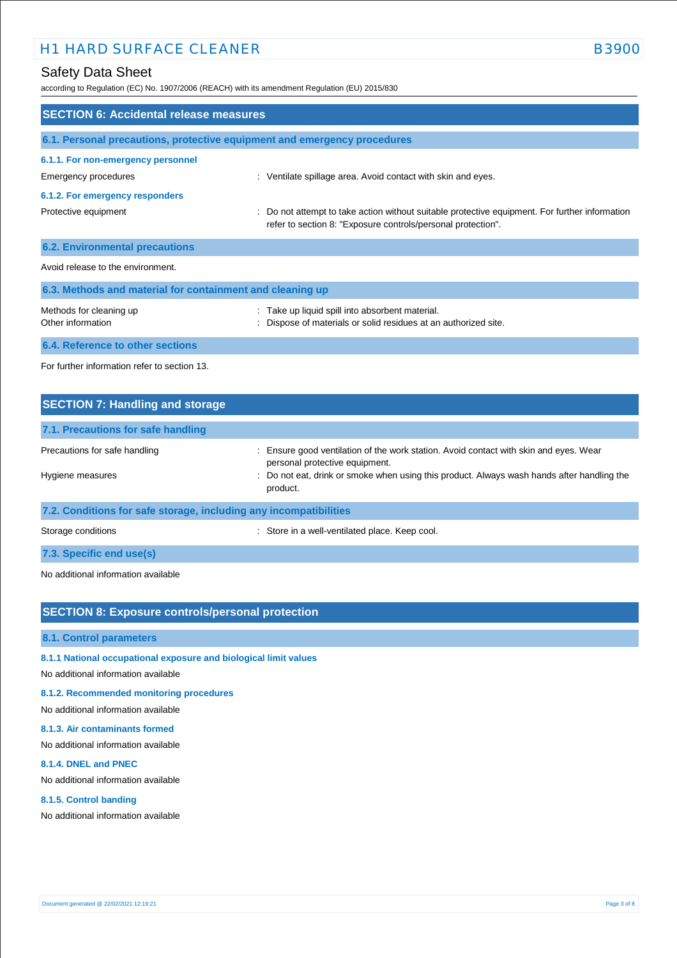according to Regulation (EC) No. 1907/2006 (REACH) with its amendment Regulation (EU) 2015/830

| <b>SECTION 6: Accidental release measures</b>                            |                                                                                                                                                                |  |  |
|--------------------------------------------------------------------------|----------------------------------------------------------------------------------------------------------------------------------------------------------------|--|--|
| 6.1. Personal precautions, protective equipment and emergency procedures |                                                                                                                                                                |  |  |
| 6.1.1. For non-emergency personnel<br>Emergency procedures               | : Ventilate spillage area. Avoid contact with skin and eyes.                                                                                                   |  |  |
| 6.1.2. For emergency responders                                          |                                                                                                                                                                |  |  |
| Protective equipment                                                     | : Do not attempt to take action without suitable protective equipment. For further information<br>refer to section 8: "Exposure controls/personal protection". |  |  |
| <b>6.2. Environmental precautions</b>                                    |                                                                                                                                                                |  |  |
| Avoid release to the environment.                                        |                                                                                                                                                                |  |  |
| 6.3. Methods and material for containment and cleaning up                |                                                                                                                                                                |  |  |
| Methods for cleaning up<br>Other information                             | : Take up liquid spill into absorbent material.<br>: Dispose of materials or solid residues at an authorized site.                                             |  |  |
| 6.4. Reference to other sections                                         |                                                                                                                                                                |  |  |
| For further information refer to section 13.                             |                                                                                                                                                                |  |  |

| <b>SECTION 7: Handling and storage</b>                            |                                                                                                                         |
|-------------------------------------------------------------------|-------------------------------------------------------------------------------------------------------------------------|
| 7.1. Precautions for safe handling                                |                                                                                                                         |
| Precautions for safe handling                                     | : Ensure good ventilation of the work station. Avoid contact with skin and eyes. Wear<br>personal protective equipment. |
| Hygiene measures                                                  | : Do not eat, drink or smoke when using this product. Always wash hands after handling the<br>product.                  |
| 7.2. Conditions for safe storage, including any incompatibilities |                                                                                                                         |

Storage conditions **Storage conditions** : Store in a well-ventilated place. Keep cool.

### **7.3. Specific end use(s)**

No additional information available

# **SECTION 8: Exposure controls/personal protection**

#### **8.1. Control parameters**

### **8.1.1 National occupational exposure and biological limit values**

No additional information available

### **8.1.2. Recommended monitoring procedures**

No additional information available

#### **8.1.3. Air contaminants formed**

No additional information available

#### **8.1.4. DNEL and PNEC**

No additional information available

#### **8.1.5. Control banding**

No additional information available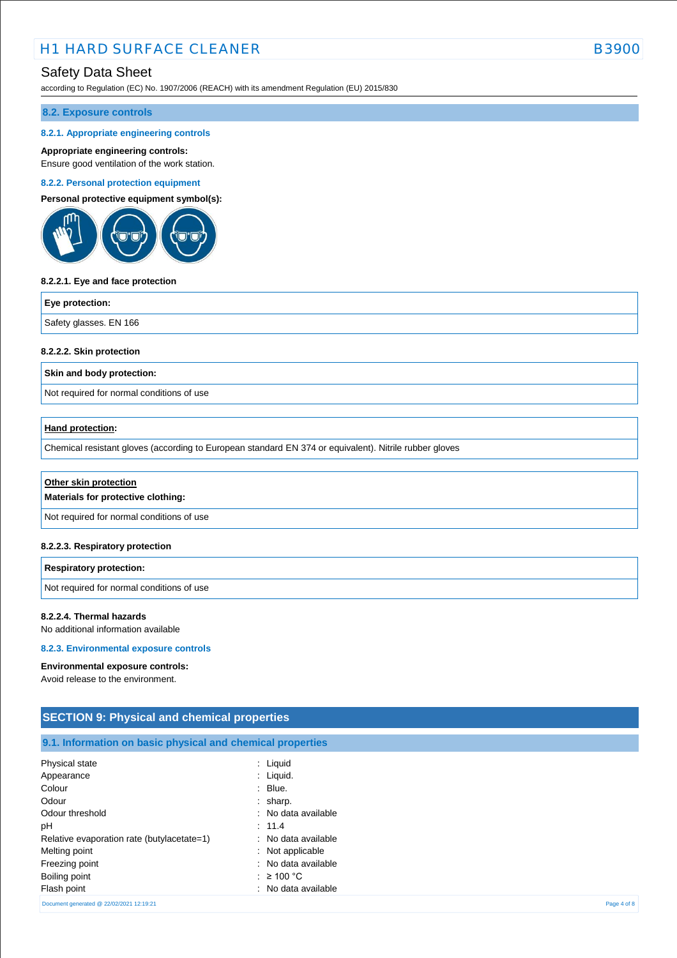according to Regulation (EC) No. 1907/2006 (REACH) with its amendment Regulation (EU) 2015/830

### **8.2. Exposure controls**

#### **8.2.1. Appropriate engineering controls**

#### **Appropriate engineering controls:**

Ensure good ventilation of the work station.

#### **8.2.2. Personal protection equipment**

**Personal protective equipment symbol(s):**



#### **8.2.2.1. Eye and face protection**

#### **Eye protection:**

Safety glasses. EN 166

#### **8.2.2.2. Skin protection**

**Skin and body protection:**

Not required for normal conditions of use

### **Hand protection:**

Chemical resistant gloves (according to European standard EN 374 or equivalent). Nitrile rubber gloves

| Other skin protection<br>Materials for protective clothing: |
|-------------------------------------------------------------|
| Not required for normal conditions of use                   |
|                                                             |

#### **8.2.2.3. Respiratory protection**

| <b>Respiratory protection:</b>            |  |
|-------------------------------------------|--|
| Not required for normal conditions of use |  |

#### **8.2.2.4. Thermal hazards**

No additional information available

#### **8.2.3. Environmental exposure controls**

#### **Environmental exposure controls:**

Avoid release to the environment.

| <b>SECTION 9: Physical and chemical properties</b>         |                     |  |
|------------------------------------------------------------|---------------------|--|
| 9.1. Information on basic physical and chemical properties |                     |  |
| Physical state                                             | $:$ Liquid          |  |
| Appearance                                                 | $:$ Liquid.         |  |
| Colour                                                     | $:$ Blue.           |  |
| Odour                                                      | $:$ sharp.          |  |
| Odour threshold                                            | : No data available |  |
| рH                                                         | : 11.4              |  |
| Relative evaporation rate (butylacetate=1)                 | : No data available |  |
| Melting point                                              | : Not applicable    |  |
| Freezing point                                             | : No data available |  |
| Boiling point                                              | : $\geq 100$ °C     |  |
| Flash point                                                | : No data available |  |

Document generated @ 22/02/2021 12:19:21 Page 4 of 8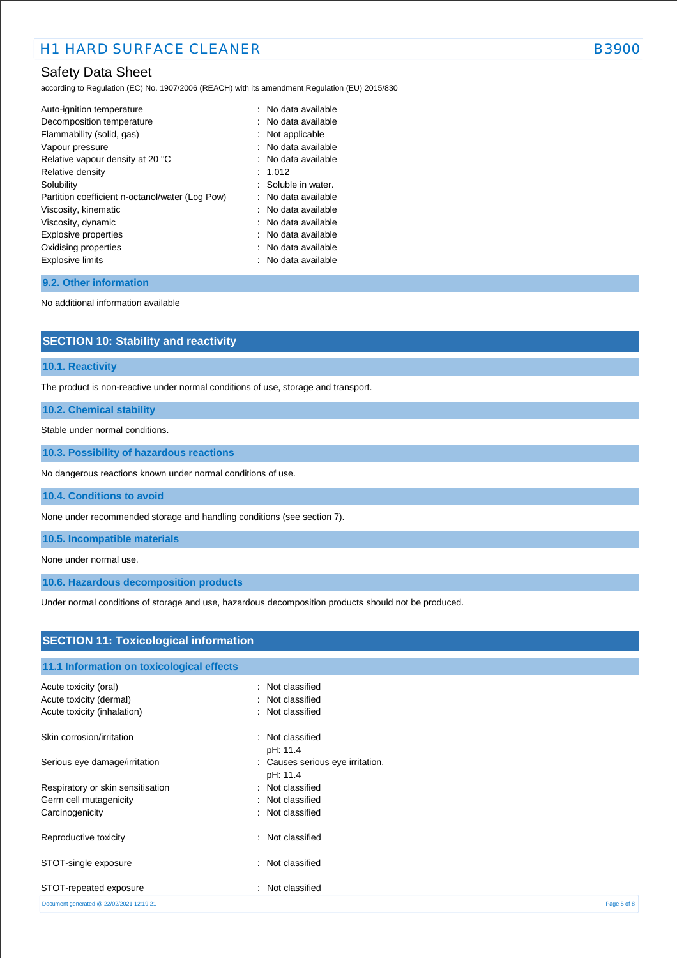according to Regulation (EC) No. 1907/2006 (REACH) with its amendment Regulation (EU) 2015/830

| Auto-ignition temperature                       | : No data available |
|-------------------------------------------------|---------------------|
| Decomposition temperature                       | : No data available |
| Flammability (solid, gas)                       | Not applicable      |
| Vapour pressure                                 | : No data available |
| Relative vapour density at 20 °C                | : No data available |
| Relative density                                | 1.012               |
| Solubility                                      | : Soluble in water. |
| Partition coefficient n-octanol/water (Log Pow) | No data available   |
| Viscosity, kinematic                            | No data available   |
| Viscosity, dynamic                              | : No data available |
| Explosive properties                            | : No data available |
| Oxidising properties                            | No data available   |
| <b>Explosive limits</b>                         | No data available   |
|                                                 |                     |

### **9.2. Other information**

No additional information available

| <b>SECTION 10: Stability and reactivity</b> |  |
|---------------------------------------------|--|
|---------------------------------------------|--|

### **10.1. Reactivity**

The product is non-reactive under normal conditions of use, storage and transport.

**10.2. Chemical stability**

Stable under normal conditions.

**10.3. Possibility of hazardous reactions**

No dangerous reactions known under normal conditions of use.

**10.4. Conditions to avoid**

None under recommended storage and handling conditions (see section 7).

**10.5. Incompatible materials**

None under normal use.

**10.6. Hazardous decomposition products**

Under normal conditions of storage and use, hazardous decomposition products should not be produced.

| <b>SECTION 11: Toxicological information</b> |                                              |             |  |
|----------------------------------------------|----------------------------------------------|-------------|--|
| 11.1 Information on toxicological effects    |                                              |             |  |
| Acute toxicity (oral)                        | : Not classified                             |             |  |
| Acute toxicity (dermal)                      | : Not classified                             |             |  |
| Acute toxicity (inhalation)                  | : Not classified                             |             |  |
| Skin corrosion/irritation                    | : Not classified<br>pH: 11.4                 |             |  |
| Serious eye damage/irritation                | : Causes serious eye irritation.<br>pH: 11.4 |             |  |
| Respiratory or skin sensitisation            | : Not classified                             |             |  |
| Germ cell mutagenicity                       | : Not classified                             |             |  |
| Carcinogenicity                              | : Not classified                             |             |  |
| Reproductive toxicity                        | : Not classified                             |             |  |
| STOT-single exposure                         | : Not classified                             |             |  |
| STOT-repeated exposure                       | : Not classified                             |             |  |
| Document generated @ 22/02/2021 12:19:21     |                                              | Page 5 of 8 |  |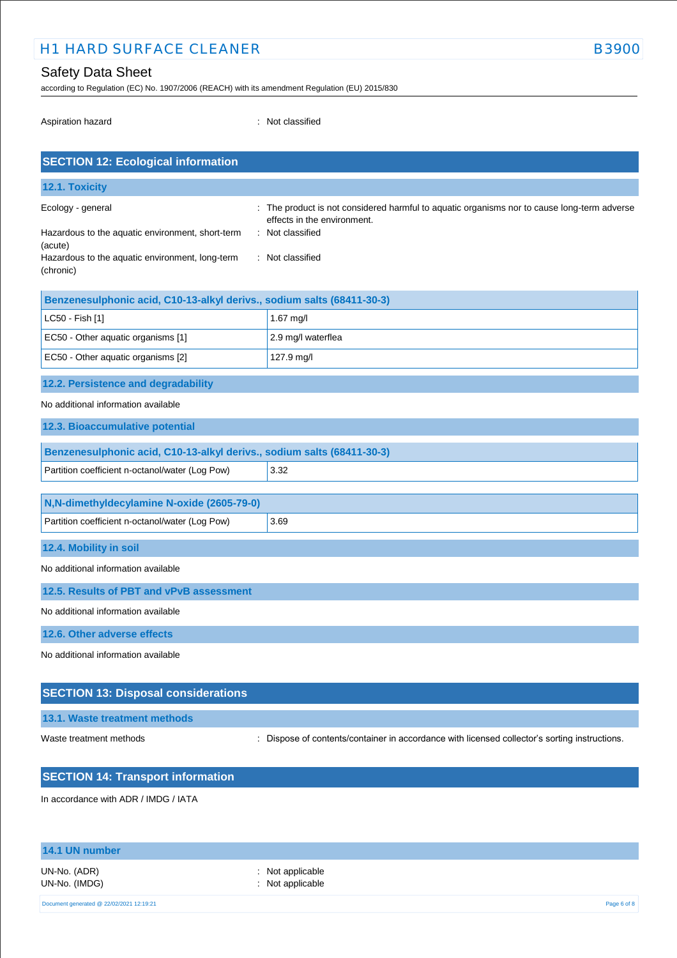# H1 HARD SURFACE CLEANER B3900

# Safety Data Sheet

according to Regulation (EC) No. 1907/2006 (REACH) with its amendment Regulation (EU) 2015/830

Aspiration hazard **in the set of the set of the set of the set of the set of the set of the set of the set of the set of the set of the set of the set of the set of the set of the set of the set of the set of the set of th** 

| <b>SECTION 12: Ecological information</b>                              |                                                                                                                          |  |  |  |
|------------------------------------------------------------------------|--------------------------------------------------------------------------------------------------------------------------|--|--|--|
| 12.1. Toxicity                                                         |                                                                                                                          |  |  |  |
| Ecology - general                                                      | The product is not considered harmful to aquatic organisms nor to cause long-term adverse<br>effects in the environment. |  |  |  |
| Hazardous to the aquatic environment, short-term<br>(acute)            | : Not classified                                                                                                         |  |  |  |
| Hazardous to the aquatic environment, long-term<br>(chronic)           | : Not classified                                                                                                         |  |  |  |
| Benzenesulphonic acid, C10-13-alkyl derivs., sodium salts (68411-30-3) |                                                                                                                          |  |  |  |
| LC50 - Fish [1]                                                        | $1.67$ mg/l                                                                                                              |  |  |  |
| EC50 - Other aquatic organisms [1]                                     | 2.9 mg/l waterflea                                                                                                       |  |  |  |
| EC50 - Other aquatic organisms [2]                                     | 127.9 mg/l                                                                                                               |  |  |  |
| 12.2. Persistence and degradability                                    |                                                                                                                          |  |  |  |
| No additional information available                                    |                                                                                                                          |  |  |  |
| 12.3. Bioaccumulative potential                                        |                                                                                                                          |  |  |  |
| Benzenesulphonic acid, C10-13-alkyl derivs., sodium salts (68411-30-3) |                                                                                                                          |  |  |  |

| Partition coefficient n-octanol/water (Log Pow) | 3.32 |  |
|-------------------------------------------------|------|--|
|                                                 |      |  |
| N.N-dimethyldecylamine N-oxide (2605-79-0)      |      |  |
| Partition coefficient n-octanol/water (Log Pow) | 3.69 |  |

**12.4. Mobility in soil**

No additional information available

**12.5. Results of PBT and vPvB assessment**

No additional information available

**12.6. Other adverse effects**

No additional information available

# **SECTION 13: Disposal considerations**

**13.1. Waste treatment methods**

Waste treatment methods : Dispose of contents/container in accordance with licensed collector's sorting instructions.

# **SECTION 14: Transport information**

In accordance with ADR / IMDG / IATA

# **14.1 UN number**

UN-No. (IMDG) : Not applicable

UN-No. (ADR) : Not applicable

Document generated @ 22/02/2021 12:19:21 Page 6 of 8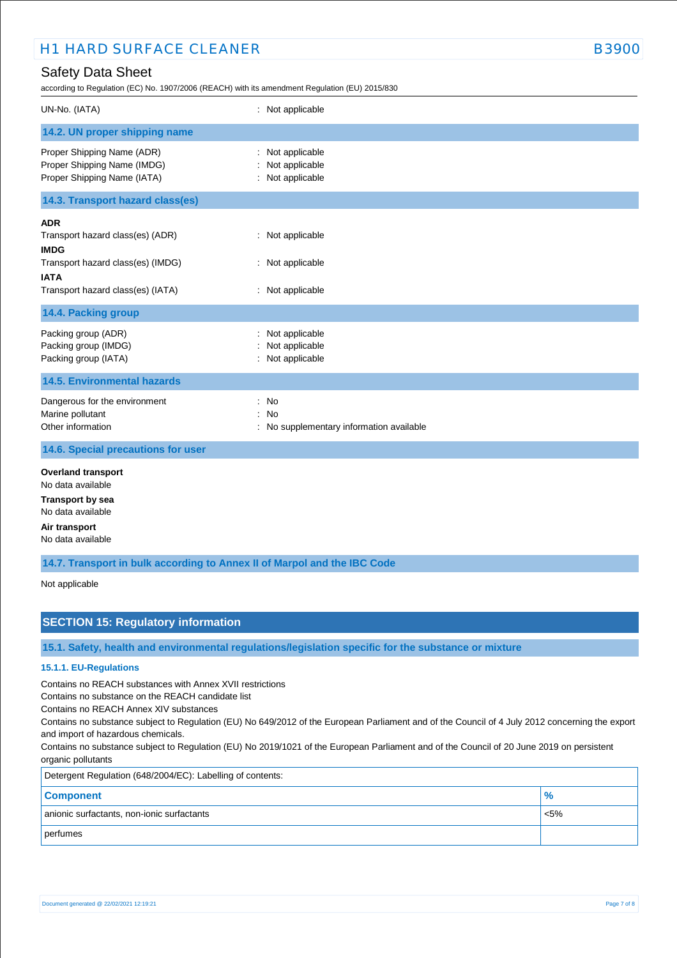according to Regulation (EC) No. 1907/2006 (REACH) with its amendment Regulation (EU) 2015/830

| UN-No. (IATA)                                                                                                                                          | : Not applicable                                         |
|--------------------------------------------------------------------------------------------------------------------------------------------------------|----------------------------------------------------------|
| 14.2. UN proper shipping name                                                                                                                          |                                                          |
| Proper Shipping Name (ADR)<br>Proper Shipping Name (IMDG)<br>Proper Shipping Name (IATA)                                                               | Not applicable<br>: Not applicable<br>: Not applicable   |
| 14.3. Transport hazard class(es)                                                                                                                       |                                                          |
| <b>ADR</b><br>Transport hazard class(es) (ADR)<br><b>IMDG</b><br>Transport hazard class(es) (IMDG)<br><b>IATA</b><br>Transport hazard class(es) (IATA) | : Not applicable<br>: Not applicable<br>: Not applicable |
| 14.4. Packing group                                                                                                                                    |                                                          |
| Packing group (ADR)<br>Packing group (IMDG)<br>Packing group (IATA)                                                                                    | Not applicable<br>Not applicable<br>: Not applicable     |
| <b>14.5. Environmental hazards</b>                                                                                                                     |                                                          |
| Dangerous for the environment<br>Marine pollutant<br>Other information                                                                                 | : No<br>: No<br>: No supplementary information available |
| 14.6. Special precautions for user                                                                                                                     |                                                          |
| <b>Overland transport</b><br>No data available<br><b>Transport by sea</b>                                                                              |                                                          |
| No data available                                                                                                                                      |                                                          |

**Air transport**

No data available

**14.7. Transport in bulk according to Annex II of Marpol and the IBC Code**

Not applicable

# **SECTION 15: Regulatory information**

**15.1. Safety, health and environmental regulations/legislation specific for the substance or mixture**

# **15.1.1. EU-Regulations**

Contains no REACH substances with Annex XVII restrictions

Contains no substance on the REACH candidate list

Contains no REACH Annex XIV substances

Contains no substance subject to Regulation (EU) No 649/2012 of the European Parliament and of the Council of 4 July 2012 concerning the export and import of hazardous chemicals.

Contains no substance subject to Regulation (EU) No 2019/1021 of the European Parliament and of the Council of 20 June 2019 on persistent organic pollutants

| Detergent Regulation (648/2004/EC): Labelling of contents: |               |  |
|------------------------------------------------------------|---------------|--|
| <b>Component</b>                                           | $\frac{9}{6}$ |  |
| anionic surfactants, non-ionic surfactants                 | $< 5\%$       |  |
| perfumes                                                   |               |  |